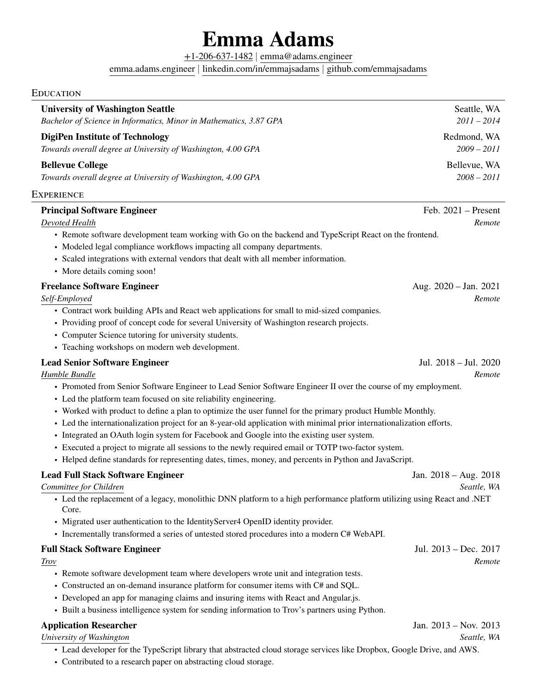# **Emma Adams**

[+1-206-637-1482](tel:+1-206-637-1482) | [emma@adams.engineer](mailto:emma@adams.engineer)

[emma.adams.engineer](https://emma.adams.engineer) | [linkedin.com/in/emmajsadams](https://linkedin.com/in/emmajsadams) | [github.com/emmajsadams](https://github.com/emmajsadams)

## EDUCATION

| <b>University of Washington Seattle</b><br>Bachelor of Science in Informatics, Minor in Mathematics, 3.87 GPA                     | Seattle, WA<br>$2011 - 2014$ |
|-----------------------------------------------------------------------------------------------------------------------------------|------------------------------|
|                                                                                                                                   |                              |
| <b>DigiPen Institute of Technology</b><br>Towards overall degree at University of Washington, 4.00 GPA                            | Redmond, WA<br>$2009 - 2011$ |
| <b>Bellevue College</b>                                                                                                           | Bellevue, WA                 |
| Towards overall degree at University of Washington, 4.00 GPA                                                                      | $2008 - 2011$                |
| Experience                                                                                                                        |                              |
| <b>Principal Software Engineer</b>                                                                                                | Feb. $2021$ – Present        |
| Devoted Health                                                                                                                    | Remote                       |
| • Remote software development team working with Go on the backend and TypeScript React on the frontend.                           |                              |
| • Modeled legal compliance workflows impacting all company departments.                                                           |                              |
| • Scaled integrations with external vendors that dealt with all member information.                                               |                              |
| • More details coming soon!                                                                                                       |                              |
| <b>Freelance Software Engineer</b>                                                                                                | Aug. $2020 - Jan. 2021$      |
| Self-Employed                                                                                                                     | Remote                       |
| • Contract work building APIs and React web applications for small to mid-sized companies.                                        |                              |
| • Providing proof of concept code for several University of Washington research projects.                                         |                              |
| • Computer Science tutoring for university students.                                                                              |                              |
| • Teaching workshops on modern web development.                                                                                   |                              |
| <b>Lead Senior Software Engineer</b>                                                                                              | Jul. 2018 - Jul. 2020        |
| Humble Bundle                                                                                                                     | Remote                       |
| • Promoted from Senior Software Engineer to Lead Senior Software Engineer II over the course of my employment.                    |                              |
| • Led the platform team focused on site reliability engineering.                                                                  |                              |
| • Worked with product to define a plan to optimize the user funnel for the primary product Humble Monthly.                        |                              |
| • Led the internationalization project for an 8-year-old application with minimal prior internationalization efforts.             |                              |
| • Integrated an OAuth login system for Facebook and Google into the existing user system.                                         |                              |
| • Executed a project to migrate all sessions to the newly required email or TOTP two-factor system.                               |                              |
| • Helped define standards for representing dates, times, money, and percents in Python and JavaScript.                            |                              |
| <b>Lead Full Stack Software Engineer</b>                                                                                          | Jan. 2018 – Aug. 2018        |
| Committee for Children                                                                                                            | Seattle, WA                  |
| • Led the replacement of a legacy, monolithic DNN platform to a high performance platform utilizing using React and .NET<br>Core. |                              |
| • Migrated user authentication to the IdentityServer4 OpenID identity provider.                                                   |                              |
| • Incrementally transformed a series of untested stored procedures into a modern C# WebAPI.                                       |                              |
| <b>Full Stack Software Engineer</b>                                                                                               | Jul. 2013 - Dec. 2017        |
| Trov                                                                                                                              | Remote                       |
| • Remote software development team where developers wrote unit and integration tests.                                             |                              |
| • Constructed an on-demand insurance platform for consumer items with C# and SQL.                                                 |                              |
| • Developed an app for managing claims and insuring items with React and Angular.js.                                              |                              |
| • Built a business intelligence system for sending information to Trov's partners using Python.                                   |                              |
| <b>Application Researcher</b>                                                                                                     | Jan. $2013 - Nov. 2013$      |
| University of Washington                                                                                                          | Seattle, WA                  |
| • Lead developer for the TypeScript library that abstracted cloud storage services like Dropbox, Google Drive, and AWS.           |                              |

• Contributed to a research paper on abstracting cloud storage.